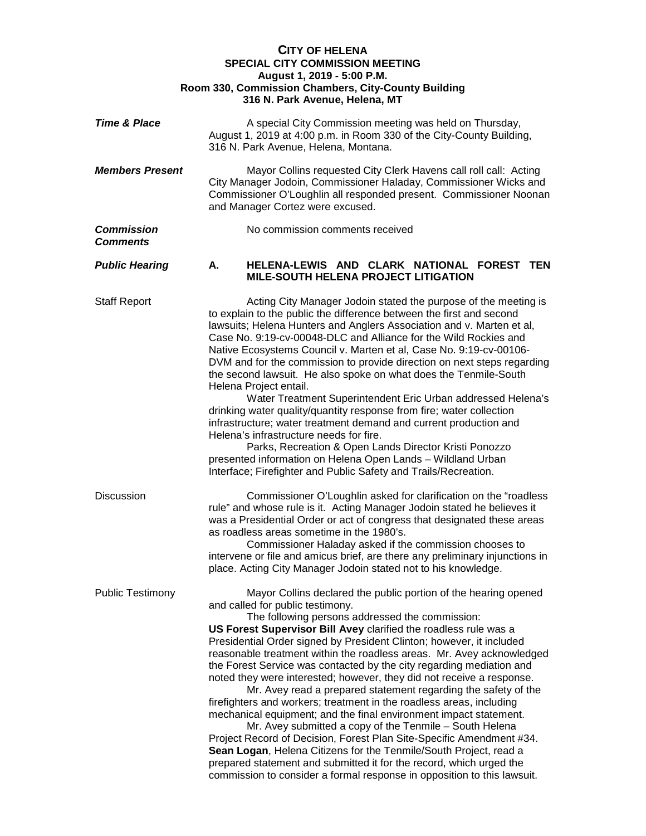## **CITY OF HELENA SPECIAL CITY COMMISSION MEETING August 1, 2019 - 5:00 P.M. Room 330, Commission Chambers, City-County Building 316 N. Park Avenue, Helena, MT Time & Place** A special City Commission meeting was held on Thursday, August 1, 2019 at 4:00 p.m. in Room 330 of the City-County Building, 316 N. Park Avenue, Helena, Montana. *Members Present* Mayor Collins requested City Clerk Havens call roll call: Acting City Manager Jodoin, Commissioner Haladay, Commissioner Wicks and Commissioner O'Loughlin all responded present. Commissioner Noonan and Manager Cortez were excused. **Commission No commission comments received** *Comments Public Hearing* **A. HELENA-LEWIS AND CLARK NATIONAL FOREST TEN MILE-SOUTH HELENA PROJECT LITIGATION** Staff Report **Acting City Manager Jodoin stated the purpose of the meeting is** to explain to the public the difference between the first and second lawsuits; Helena Hunters and Anglers Association and v. Marten et al, Case No. 9:19-cv-00048-DLC and Alliance for the Wild Rockies and Native Ecosystems Council v. Marten et al, Case No. 9:19-cv-00106- DVM and for the commission to provide direction on next steps regarding the second lawsuit. He also spoke on what does the Tenmile-South Helena Project entail. Water Treatment Superintendent Eric Urban addressed Helena's drinking water quality/quantity response from fire; water collection infrastructure; water treatment demand and current production and Helena's infrastructure needs for fire. Parks, Recreation & Open Lands Director Kristi Ponozzo presented information on Helena Open Lands – Wildland Urban Interface; Firefighter and Public Safety and Trails/Recreation. Discussion Commissioner O'Loughlin asked for clarification on the "roadless rule" and whose rule is it. Acting Manager Jodoin stated he believes it was a Presidential Order or act of congress that designated these areas as roadless areas sometime in the 1980's. Commissioner Haladay asked if the commission chooses to intervene or file and amicus brief, are there any preliminary injunctions in place. Acting City Manager Jodoin stated not to his knowledge. Public Testimony Mayor Collins declared the public portion of the hearing opened and called for public testimony. The following persons addressed the commission: **US Forest Supervisor Bill Avey** clarified the roadless rule was a Presidential Order signed by President Clinton; however, it included reasonable treatment within the roadless areas. Mr. Avey acknowledged the Forest Service was contacted by the city regarding mediation and noted they were interested; however, they did not receive a response. Mr. Avey read a prepared statement regarding the safety of the firefighters and workers; treatment in the roadless areas, including mechanical equipment; and the final environment impact statement. Mr. Avey submitted a copy of the Tenmile – South Helena Project Record of Decision, Forest Plan Site-Specific Amendment #34. **Sean Logan**, Helena Citizens for the Tenmile/South Project, read a prepared statement and submitted it for the record, which urged the commission to consider a formal response in opposition to this lawsuit.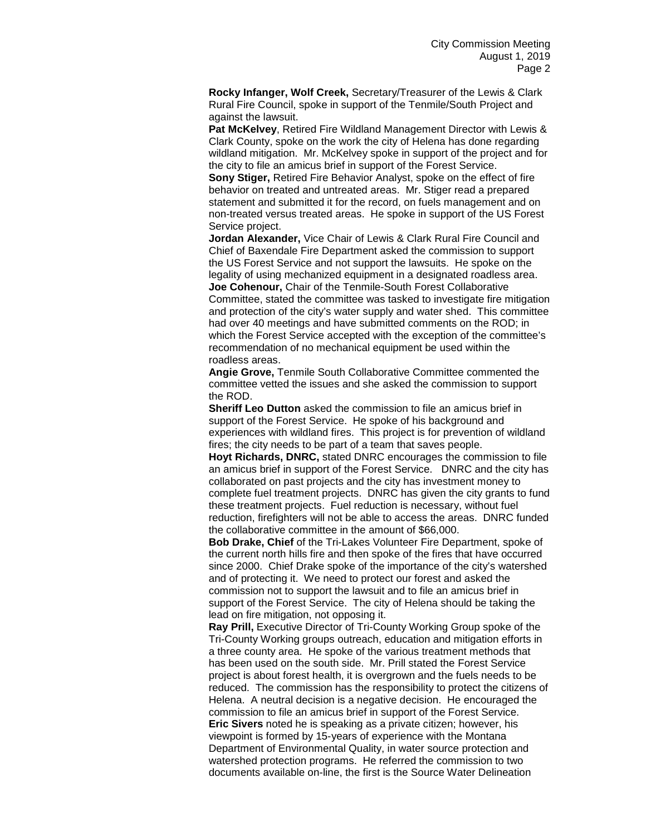**Rocky Infanger, Wolf Creek,** Secretary/Treasurer of the Lewis & Clark Rural Fire Council, spoke in support of the Tenmile/South Project and against the lawsuit.

**Pat McKelvey**, Retired Fire Wildland Management Director with Lewis & Clark County, spoke on the work the city of Helena has done regarding wildland mitigation. Mr. McKelvey spoke in support of the project and for the city to file an amicus brief in support of the Forest Service.

**Sony Stiger,** Retired Fire Behavior Analyst, spoke on the effect of fire behavior on treated and untreated areas. Mr. Stiger read a prepared statement and submitted it for the record, on fuels management and on non-treated versus treated areas. He spoke in support of the US Forest Service project.

**Jordan Alexander,** Vice Chair of Lewis & Clark Rural Fire Council and Chief of Baxendale Fire Department asked the commission to support the US Forest Service and not support the lawsuits. He spoke on the legality of using mechanized equipment in a designated roadless area. **Joe Cohenour,** Chair of the Tenmile-South Forest Collaborative Committee, stated the committee was tasked to investigate fire mitigation and protection of the city's water supply and water shed. This committee had over 40 meetings and have submitted comments on the ROD; in which the Forest Service accepted with the exception of the committee's recommendation of no mechanical equipment be used within the roadless areas.

**Angie Grove,** Tenmile South Collaborative Committee commented the committee vetted the issues and she asked the commission to support the ROD.

**Sheriff Leo Dutton** asked the commission to file an amicus brief in support of the Forest Service. He spoke of his background and experiences with wildland fires. This project is for prevention of wildland fires; the city needs to be part of a team that saves people.

**Hoyt Richards, DNRC,** stated DNRC encourages the commission to file an amicus brief in support of the Forest Service. DNRC and the city has collaborated on past projects and the city has investment money to complete fuel treatment projects. DNRC has given the city grants to fund these treatment projects. Fuel reduction is necessary, without fuel reduction, firefighters will not be able to access the areas. DNRC funded the collaborative committee in the amount of \$66,000.

**Bob Drake, Chief** of the Tri-Lakes Volunteer Fire Department, spoke of the current north hills fire and then spoke of the fires that have occurred since 2000. Chief Drake spoke of the importance of the city's watershed and of protecting it. We need to protect our forest and asked the commission not to support the lawsuit and to file an amicus brief in support of the Forest Service. The city of Helena should be taking the lead on fire mitigation, not opposing it.

**Ray Prill,** Executive Director of Tri-County Working Group spoke of the Tri-County Working groups outreach, education and mitigation efforts in a three county area. He spoke of the various treatment methods that has been used on the south side. Mr. Prill stated the Forest Service project is about forest health, it is overgrown and the fuels needs to be reduced. The commission has the responsibility to protect the citizens of Helena. A neutral decision is a negative decision. He encouraged the commission to file an amicus brief in support of the Forest Service. **Eric Sivers** noted he is speaking as a private citizen; however, his viewpoint is formed by 15-years of experience with the Montana Department of Environmental Quality, in water source protection and watershed protection programs. He referred the commission to two documents available on-line, the first is the Source Water Delineation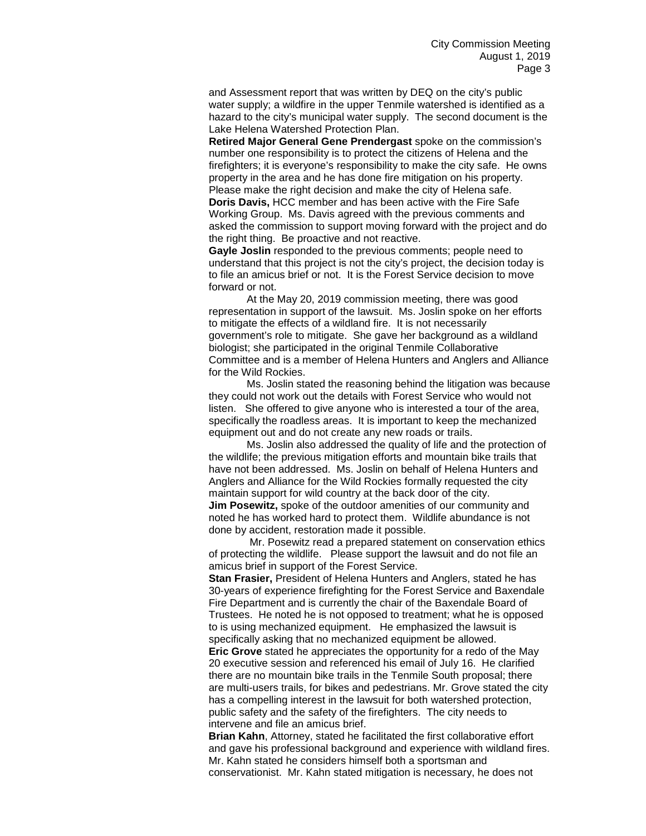and Assessment report that was written by DEQ on the city's public water supply; a wildfire in the upper Tenmile watershed is identified as a hazard to the city's municipal water supply. The second document is the Lake Helena Watershed Protection Plan.

**Retired Major General Gene Prendergast** spoke on the commission's number one responsibility is to protect the citizens of Helena and the firefighters; it is everyone's responsibility to make the city safe. He owns property in the area and he has done fire mitigation on his property. Please make the right decision and make the city of Helena safe. **Doris Davis,** HCC member and has been active with the Fire Safe

Working Group. Ms. Davis agreed with the previous comments and asked the commission to support moving forward with the project and do the right thing. Be proactive and not reactive.

**Gayle Joslin** responded to the previous comments; people need to understand that this project is not the city's project, the decision today is to file an amicus brief or not. It is the Forest Service decision to move forward or not.

At the May 20, 2019 commission meeting, there was good representation in support of the lawsuit. Ms. Joslin spoke on her efforts to mitigate the effects of a wildland fire. It is not necessarily government's role to mitigate. She gave her background as a wildland biologist; she participated in the original Tenmile Collaborative Committee and is a member of Helena Hunters and Anglers and Alliance for the Wild Rockies.

Ms. Joslin stated the reasoning behind the litigation was because they could not work out the details with Forest Service who would not listen. She offered to give anyone who is interested a tour of the area, specifically the roadless areas. It is important to keep the mechanized equipment out and do not create any new roads or trails.

Ms. Joslin also addressed the quality of life and the protection of the wildlife; the previous mitigation efforts and mountain bike trails that have not been addressed. Ms. Joslin on behalf of Helena Hunters and Anglers and Alliance for the Wild Rockies formally requested the city maintain support for wild country at the back door of the city. **Jim Posewitz,** spoke of the outdoor amenities of our community and noted he has worked hard to protect them. Wildlife abundance is not done by accident, restoration made it possible.

Mr. Posewitz read a prepared statement on conservation ethics of protecting the wildlife. Please support the lawsuit and do not file an amicus brief in support of the Forest Service.

**Stan Frasier,** President of Helena Hunters and Anglers, stated he has 30-years of experience firefighting for the Forest Service and Baxendale Fire Department and is currently the chair of the Baxendale Board of Trustees. He noted he is not opposed to treatment; what he is opposed to is using mechanized equipment. He emphasized the lawsuit is specifically asking that no mechanized equipment be allowed.

**Eric Grove** stated he appreciates the opportunity for a redo of the May 20 executive session and referenced his email of July 16. He clarified there are no mountain bike trails in the Tenmile South proposal; there are multi-users trails, for bikes and pedestrians. Mr. Grove stated the city has a compelling interest in the lawsuit for both watershed protection, public safety and the safety of the firefighters. The city needs to intervene and file an amicus brief.

**Brian Kahn**, Attorney, stated he facilitated the first collaborative effort and gave his professional background and experience with wildland fires. Mr. Kahn stated he considers himself both a sportsman and conservationist. Mr. Kahn stated mitigation is necessary, he does not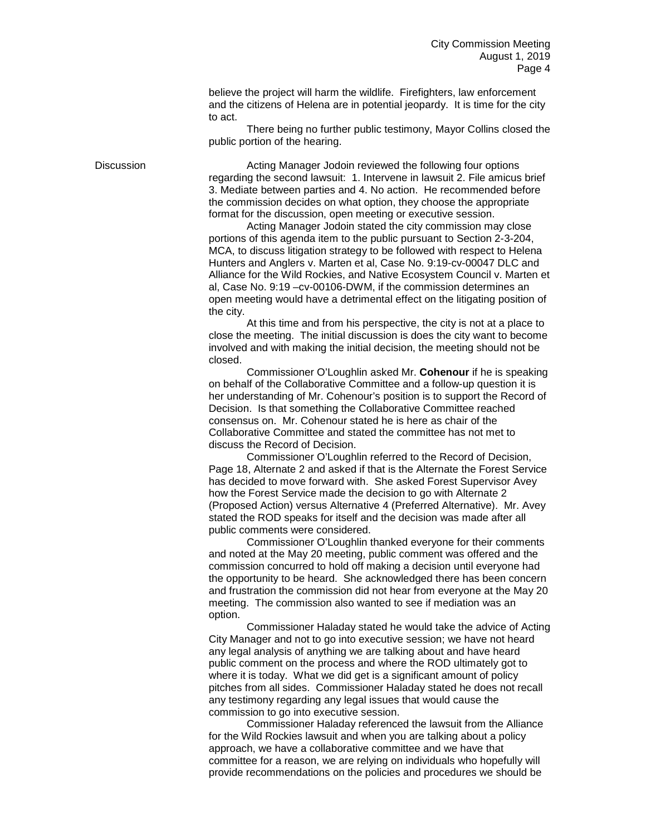believe the project will harm the wildlife. Firefighters, law enforcement and the citizens of Helena are in potential jeopardy. It is time for the city to act.

There being no further public testimony, Mayor Collins closed the public portion of the hearing.

Discussion Acting Manager Jodoin reviewed the following four options regarding the second lawsuit: 1. Intervene in lawsuit 2. File amicus brief 3. Mediate between parties and 4. No action. He recommended before the commission decides on what option, they choose the appropriate format for the discussion, open meeting or executive session.

> Acting Manager Jodoin stated the city commission may close portions of this agenda item to the public pursuant to Section 2-3-204, MCA, to discuss litigation strategy to be followed with respect to Helena Hunters and Anglers v. Marten et al, Case No. 9:19-cv-00047 DLC and Alliance for the Wild Rockies, and Native Ecosystem Council v. Marten et al, Case No. 9:19 –cv-00106-DWM, if the commission determines an open meeting would have a detrimental effect on the litigating position of the city.

> At this time and from his perspective, the city is not at a place to close the meeting. The initial discussion is does the city want to become involved and with making the initial decision, the meeting should not be closed.

> Commissioner O'Loughlin asked Mr. **Cohenour** if he is speaking on behalf of the Collaborative Committee and a follow-up question it is her understanding of Mr. Cohenour's position is to support the Record of Decision. Is that something the Collaborative Committee reached consensus on. Mr. Cohenour stated he is here as chair of the Collaborative Committee and stated the committee has not met to discuss the Record of Decision.

> Commissioner O'Loughlin referred to the Record of Decision, Page 18, Alternate 2 and asked if that is the Alternate the Forest Service has decided to move forward with. She asked Forest Supervisor Avey how the Forest Service made the decision to go with Alternate 2 (Proposed Action) versus Alternative 4 (Preferred Alternative). Mr. Avey stated the ROD speaks for itself and the decision was made after all public comments were considered.

> Commissioner O'Loughlin thanked everyone for their comments and noted at the May 20 meeting, public comment was offered and the commission concurred to hold off making a decision until everyone had the opportunity to be heard. She acknowledged there has been concern and frustration the commission did not hear from everyone at the May 20 meeting. The commission also wanted to see if mediation was an option.

> Commissioner Haladay stated he would take the advice of Acting City Manager and not to go into executive session; we have not heard any legal analysis of anything we are talking about and have heard public comment on the process and where the ROD ultimately got to where it is today. What we did get is a significant amount of policy pitches from all sides. Commissioner Haladay stated he does not recall any testimony regarding any legal issues that would cause the commission to go into executive session.

Commissioner Haladay referenced the lawsuit from the Alliance for the Wild Rockies lawsuit and when you are talking about a policy approach, we have a collaborative committee and we have that committee for a reason, we are relying on individuals who hopefully will provide recommendations on the policies and procedures we should be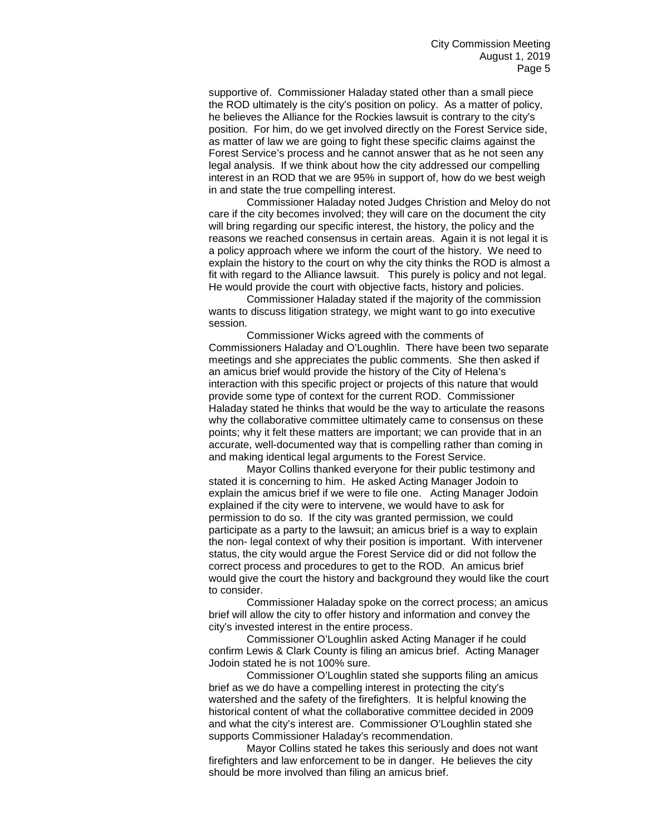supportive of. Commissioner Haladay stated other than a small piece the ROD ultimately is the city's position on policy. As a matter of policy, he believes the Alliance for the Rockies lawsuit is contrary to the city's position. For him, do we get involved directly on the Forest Service side, as matter of law we are going to fight these specific claims against the Forest Service's process and he cannot answer that as he not seen any legal analysis. If we think about how the city addressed our compelling interest in an ROD that we are 95% in support of, how do we best weigh in and state the true compelling interest.

Commissioner Haladay noted Judges Christion and Meloy do not care if the city becomes involved; they will care on the document the city will bring regarding our specific interest, the history, the policy and the reasons we reached consensus in certain areas. Again it is not legal it is a policy approach where we inform the court of the history. We need to explain the history to the court on why the city thinks the ROD is almost a fit with regard to the Alliance lawsuit. This purely is policy and not legal. He would provide the court with objective facts, history and policies.

Commissioner Haladay stated if the majority of the commission wants to discuss litigation strategy, we might want to go into executive session.

Commissioner Wicks agreed with the comments of Commissioners Haladay and O'Loughlin. There have been two separate meetings and she appreciates the public comments. She then asked if an amicus brief would provide the history of the City of Helena's interaction with this specific project or projects of this nature that would provide some type of context for the current ROD. Commissioner Haladay stated he thinks that would be the way to articulate the reasons why the collaborative committee ultimately came to consensus on these points; why it felt these matters are important; we can provide that in an accurate, well-documented way that is compelling rather than coming in and making identical legal arguments to the Forest Service.

Mayor Collins thanked everyone for their public testimony and stated it is concerning to him. He asked Acting Manager Jodoin to explain the amicus brief if we were to file one. Acting Manager Jodoin explained if the city were to intervene, we would have to ask for permission to do so. If the city was granted permission, we could participate as a party to the lawsuit; an amicus brief is a way to explain the non- legal context of why their position is important. With intervener status, the city would argue the Forest Service did or did not follow the correct process and procedures to get to the ROD. An amicus brief would give the court the history and background they would like the court to consider.

Commissioner Haladay spoke on the correct process; an amicus brief will allow the city to offer history and information and convey the city's invested interest in the entire process.

Commissioner O'Loughlin asked Acting Manager if he could confirm Lewis & Clark County is filing an amicus brief. Acting Manager Jodoin stated he is not 100% sure.

Commissioner O'Loughlin stated she supports filing an amicus brief as we do have a compelling interest in protecting the city's watershed and the safety of the firefighters. It is helpful knowing the historical content of what the collaborative committee decided in 2009 and what the city's interest are. Commissioner O'Loughlin stated she supports Commissioner Haladay's recommendation.

Mayor Collins stated he takes this seriously and does not want firefighters and law enforcement to be in danger. He believes the city should be more involved than filing an amicus brief.